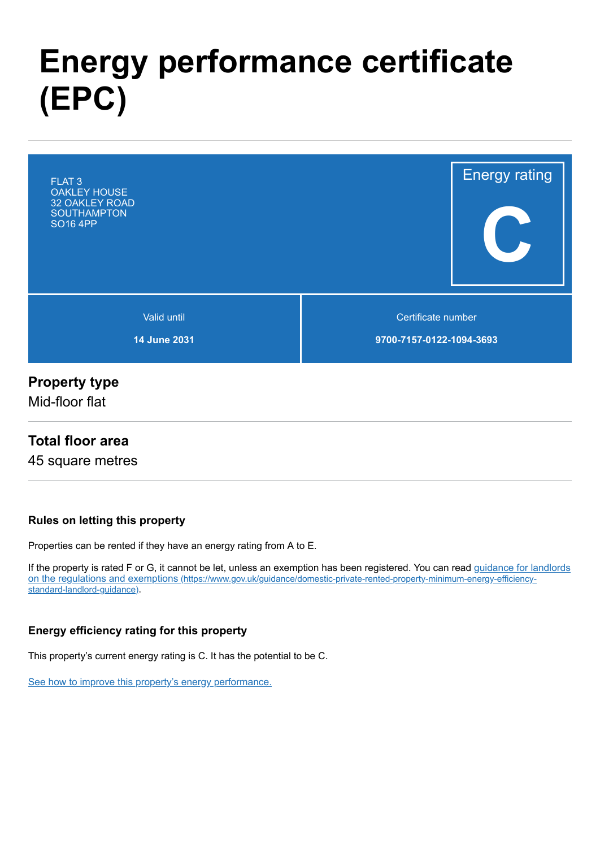# **Energy performance certificate (EPC)**



#### **Property type**

Mid-floor flat

#### **Total floor area**

45 square metres

#### **Rules on letting this property**

Properties can be rented if they have an energy rating from A to E.

[If the property is rated F or G, it cannot be let, unless an exemption has been registered. You can read guidance for landlords](https://www.gov.uk/guidance/domestic-private-rented-property-minimum-energy-efficiency-standard-landlord-guidance) on the regulations and exemptions (https://www.gov.uk/guidance/domestic-private-rented-property-minimum-energy-efficiencystandard-landlord-guidance).

#### **Energy efficiency rating for this property**

This property's current energy rating is C. It has the potential to be C.

[See how to improve this property's energy performance.](#page-3-0)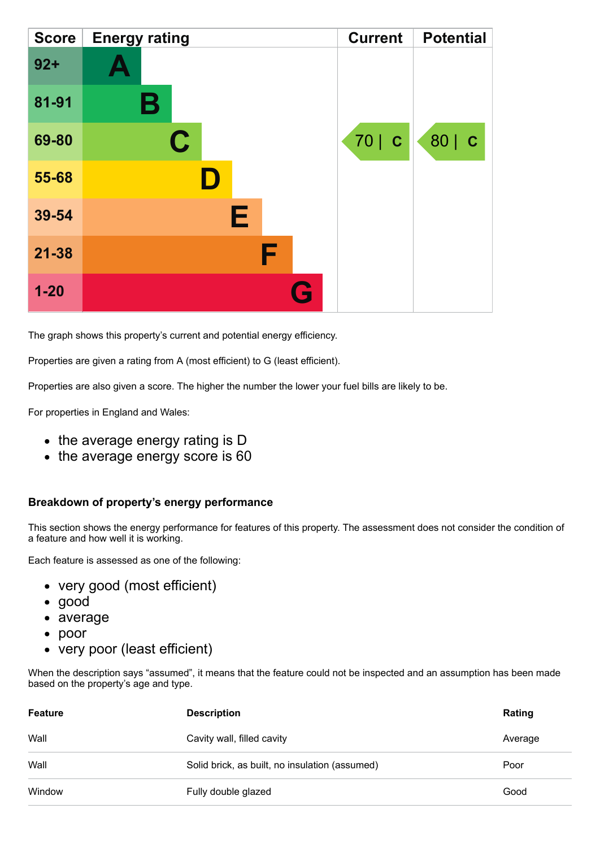| <b>Score</b> | <b>Energy rating</b> | <b>Current</b> | <b>Potential</b> |
|--------------|----------------------|----------------|------------------|
| $92 +$       |                      |                |                  |
| 81-91        | Β                    |                |                  |
| 69-80        | $\mathbf C$          | 70   C         | 80   C           |
| 55-68        |                      |                |                  |
| 39-54        | E                    |                |                  |
| $21 - 38$    | F                    |                |                  |
| $1 - 20$     | $\mathbf{G}$         |                |                  |

The graph shows this property's current and potential energy efficiency.

Properties are given a rating from A (most efficient) to G (least efficient).

Properties are also given a score. The higher the number the lower your fuel bills are likely to be.

For properties in England and Wales:

- the average energy rating is D
- the average energy score is 60

#### **Breakdown of property's energy performance**

This section shows the energy performance for features of this property. The assessment does not consider the condition of a feature and how well it is working.

Each feature is assessed as one of the following:

- very good (most efficient)
- good
- average
- poor
- very poor (least efficient)

When the description says "assumed", it means that the feature could not be inspected and an assumption has been made based on the property's age and type.

| Feature | <b>Description</b>                             | Rating  |
|---------|------------------------------------------------|---------|
| Wall    | Cavity wall, filled cavity                     | Average |
| Wall    | Solid brick, as built, no insulation (assumed) | Poor    |
| Window  | Fully double glazed                            | Good    |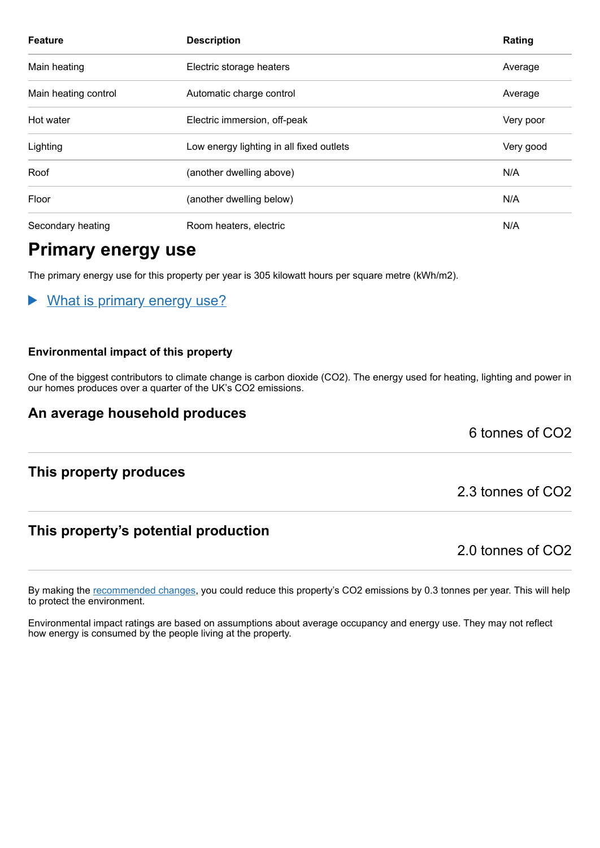| <b>Feature</b>       | <b>Description</b>                       | Rating    |
|----------------------|------------------------------------------|-----------|
| Main heating         | Electric storage heaters                 | Average   |
| Main heating control | Automatic charge control                 | Average   |
| Hot water            | Electric immersion, off-peak             | Very poor |
| Lighting             | Low energy lighting in all fixed outlets | Very good |
| Roof                 | (another dwelling above)                 | N/A       |
| Floor                | (another dwelling below)                 | N/A       |
| Secondary heating    | Room heaters, electric                   | N/A       |

### **Primary energy use**

The primary energy use for this property per year is 305 kilowatt hours per square metre (kWh/m2).

What is primary energy use?

#### **Environmental impact of this property**

One of the biggest contributors to climate change is carbon dioxide (CO2). The energy used for heating, lighting and power in our homes produces over a quarter of the UK's CO2 emissions.

#### **An average household produces**

6 tonnes of CO2

#### **This property produces**

#### **This property's potential production**

2.0 tonnes of CO2

2.3 tonnes of CO2

By making the [recommended changes,](#page-3-0) you could reduce this property's CO2 emissions by 0.3 tonnes per year. This will help to protect the environment.

Environmental impact ratings are based on assumptions about average occupancy and energy use. They may not reflect how energy is consumed by the people living at the property.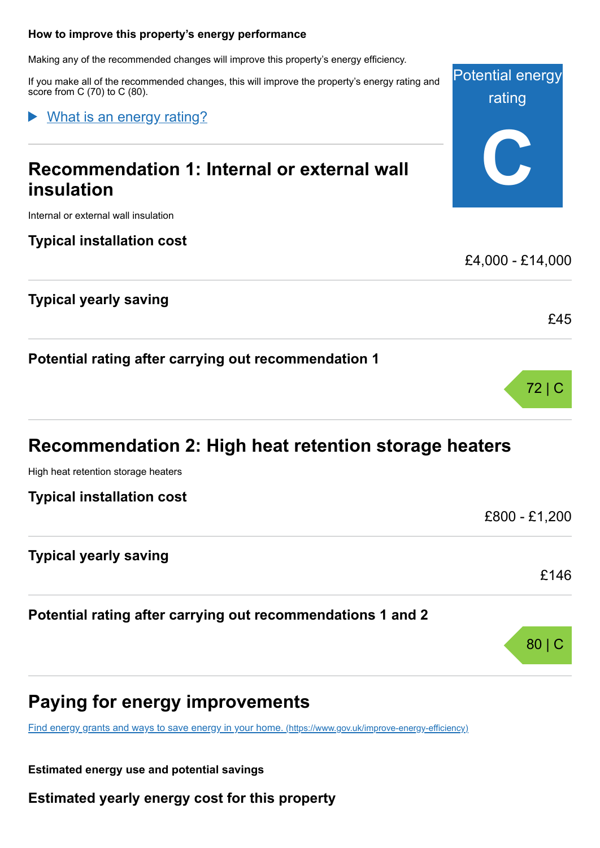#### <span id="page-3-0"></span>**How to improve this property's energy performance**

Making any of the recommended changes will improve this property's energy efficiency.

If you make all of the recommended changes, this will improve the property's energy rating and score from C (70) to C (80).

What is an energy rating?

# **Recommendation 1: Internal or external wall insulation**

Internal or external wall insulation

#### **Typical installation cost**

#### **Typical yearly saving**

**Potential rating after carrying out recommendation 1**

# **Recommendation 2: High heat retention storage heaters**

High heat retention storage heaters

| <b>Typical installation cost</b>                            |               |  |
|-------------------------------------------------------------|---------------|--|
|                                                             | £800 - £1,200 |  |
| <b>Typical yearly saving</b>                                |               |  |
|                                                             | £146          |  |
| Potential rating after carrying out recommendations 1 and 2 |               |  |
|                                                             |               |  |

### **Paying for energy improvements**

[Find energy grants and ways to save energy in your home.](https://www.gov.uk/improve-energy-efficiency) (https://www.gov.uk/improve-energy-efficiency)

**Estimated energy use and potential savings**

**Estimated yearly energy cost for this property**



£45

72 | C

80 | C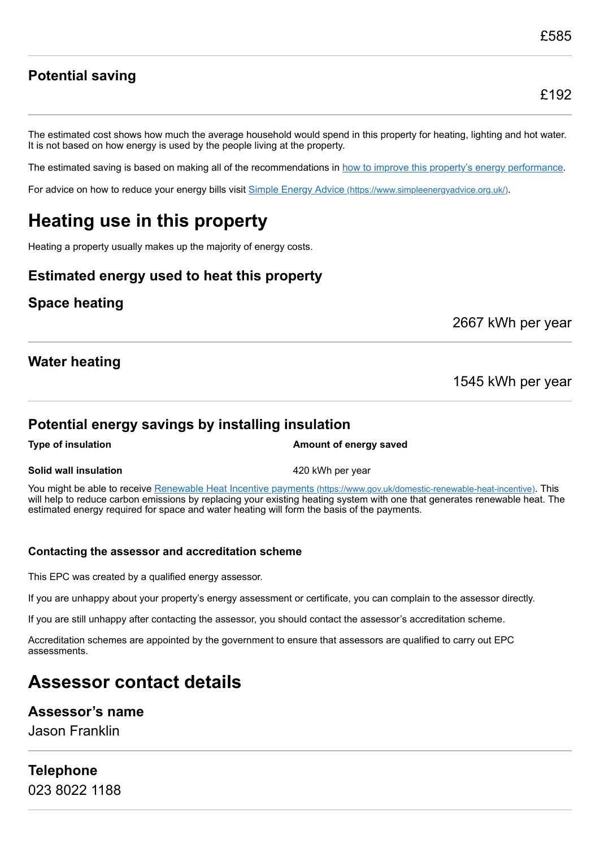### £192

**Potential saving**

The estimated cost shows how much the average household would spend in this property for heating, lighting and hot water. It is not based on how energy is used by the people living at the property.

The estimated saving is based on making all of the recommendations in [how to improve this property's energy performance.](#page-3-0)

For advice on how to reduce your energy bills visit Simple Energy Advice [\(https://www.simpleenergyadvice.org.uk/\)](https://www.simpleenergyadvice.org.uk/).

# **Heating use in this property**

Heating a property usually makes up the majority of energy costs.

#### **Estimated energy used to heat this property**

#### **Space heating**

2667 kWh per year

#### **Water heating**

1545 kWh per year

#### **Potential energy savings by installing insulation**

**Type of insulation Amount of energy saved Amount of energy saved** 

#### **Solid wall insulation** 6 and 120 kWh per year

You might be able to receive Renewable Heat Incentive payments [\(https://www.gov.uk/domestic-renewable-heat-incentive\)](https://www.gov.uk/domestic-renewable-heat-incentive). This will help to reduce carbon emissions by replacing your existing heating system with one that generates renewable heat. The estimated energy required for space and water heating will form the basis of the payments.

#### **Contacting the assessor and accreditation scheme**

This EPC was created by a qualified energy assessor.

If you are unhappy about your property's energy assessment or certificate, you can complain to the assessor directly.

If you are still unhappy after contacting the assessor, you should contact the assessor's accreditation scheme.

Accreditation schemes are appointed by the government to ensure that assessors are qualified to carry out EPC assessments.

# **Assessor contact details**

#### **Assessor's name**

Jason Franklin

# **Telephone**

023 8022 1188